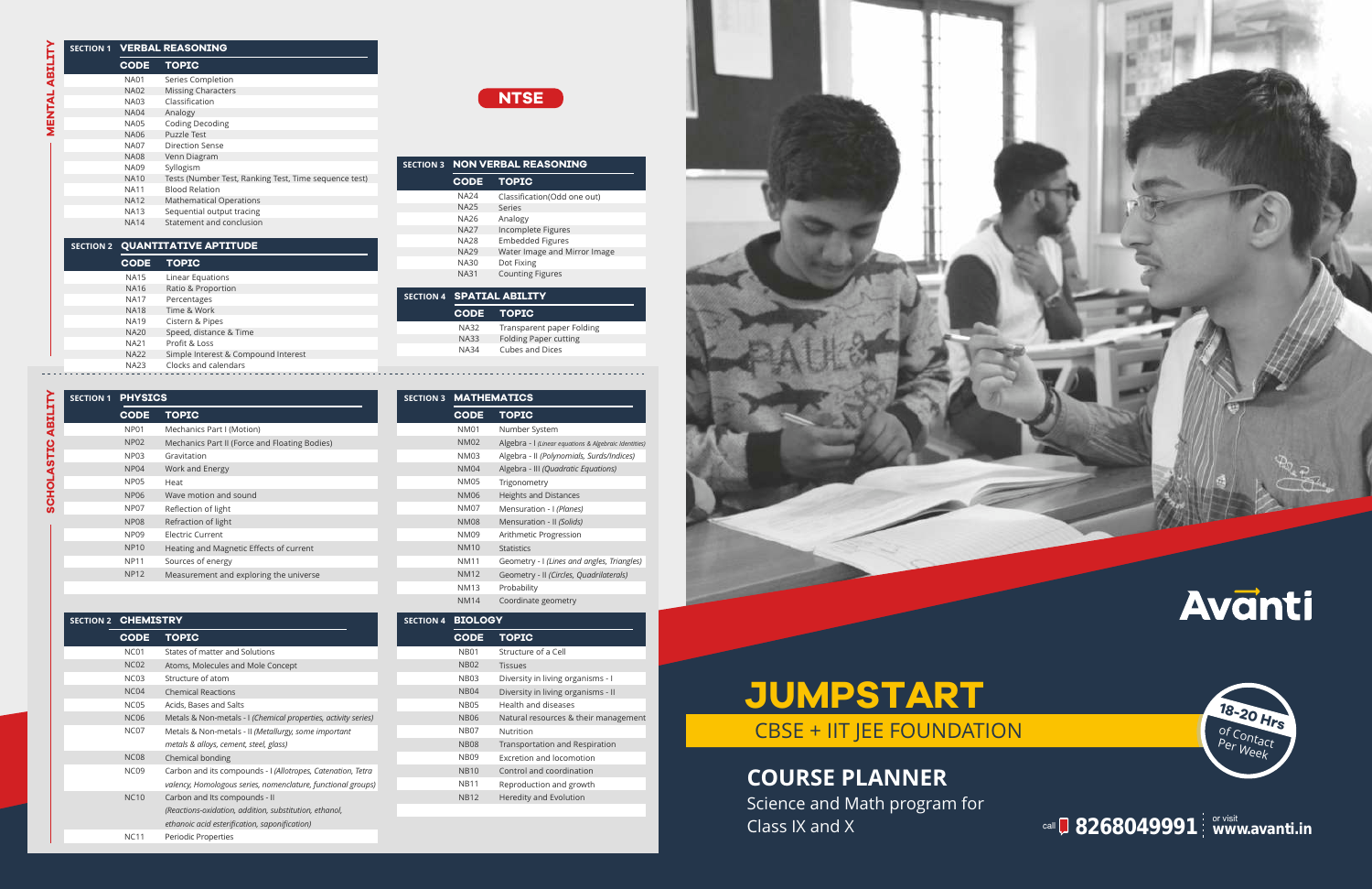**8268049991**  or visit **www.avanti.in** call

## **COURSE PLANNER**

Science and Math program for Class IX and X

# **JUMPSTART** CBSE + IIT JEE FOUNDATION



| <b>SECTION 1</b> | <b>VERBAL REASONING</b> |                                                       |  |  |
|------------------|-------------------------|-------------------------------------------------------|--|--|
|                  | <b>CODE</b>             | <b>TOPIC</b>                                          |  |  |
|                  | <b>NA01</b>             | Series Completion                                     |  |  |
|                  | <b>NA02</b>             | <b>Missing Characters</b>                             |  |  |
|                  | <b>NA03</b>             | Classification                                        |  |  |
|                  | <b>NA04</b>             | Analogy                                               |  |  |
|                  | <b>NA05</b>             | <b>Coding Decoding</b>                                |  |  |
|                  | <b>NA06</b>             | Puzzle Test                                           |  |  |
|                  | <b>NA07</b>             | Direction Sense                                       |  |  |
|                  | <b>NA08</b>             | Venn Diagram                                          |  |  |
|                  | <b>NA09</b>             | Syllogism                                             |  |  |
|                  | <b>NA10</b>             | Tests (Number Test, Ranking Test, Time sequence test) |  |  |
|                  | <b>NA11</b>             | <b>Blood Relation</b>                                 |  |  |
|                  | <b>NA12</b>             | <b>Mathematical Operations</b>                        |  |  |
|                  | <b>NA13</b>             | Sequential output tracing                             |  |  |
|                  | <b>NA14</b>             | Statement and conclusion                              |  |  |
|                  |                         |                                                       |  |  |

#### **CODE TOPIC** Linear Equations Ratio & Proportion Percentages Time & Work Cistern & Pipes Speed, distance & Time Profit & Loss Simple Interest & Compound Interest Clocks and calendars<br>-------------------------NA15 NA16 NA17 NA18 NA19 NA20 NA21 NA22 NA23<br>- - - - - -

| <b>SECTION 3</b> | <b>NON VERBAL REASONING</b> |                              |  |  |
|------------------|-----------------------------|------------------------------|--|--|
|                  | <b>CODE</b>                 | <b>TOPIC</b>                 |  |  |
|                  | <b>NA24</b>                 | Classification(Odd one out)  |  |  |
|                  | <b>NA25</b>                 | Series                       |  |  |
|                  | NA26                        | Analogy                      |  |  |
|                  | <b>NA27</b>                 | Incomplete Figures           |  |  |
|                  | <b>NA28</b>                 | <b>Embedded Figures</b>      |  |  |
|                  | <b>NA29</b>                 | Water Image and Mirror Image |  |  |
|                  | <b>NA30</b>                 | Dot Fixing                   |  |  |
|                  | <b>NA31</b>                 | <b>Counting Figures</b>      |  |  |

|             | <b>SECTION 4 SPATIAL ABILITY</b> |  |  |
|-------------|----------------------------------|--|--|
|             | CODE TOPIC                       |  |  |
| NA32        | Transparent paper Folding        |  |  |
| <b>NA33</b> | <b>Folding Paper cutting</b>     |  |  |
| NA34        | Cubes and Dices                  |  |  |
|             |                                  |  |  |

### **SECTION 2 QUANTITATIVE APTITUDE**

| <b>SECTION 1</b> | <b>PHYSICS</b>   |                                               |
|------------------|------------------|-----------------------------------------------|
|                  | <b>CODE</b>      | <b>TOPIC</b>                                  |
|                  | <b>NP01</b>      | Mechanics Part I (Motion)                     |
|                  | <b>NP02</b>      | Mechanics Part II (Force and Floating Bodies) |
|                  | <b>NP03</b>      | Gravitation                                   |
|                  | NP <sub>04</sub> | Work and Energy                               |
|                  | <b>NP05</b>      | Heat                                          |
|                  | <b>NP06</b>      | Wave motion and sound                         |
|                  | NP07             | Reflection of light                           |
|                  | <b>NP08</b>      | Refraction of light                           |
|                  | <b>NP09</b>      | <b>Electric Current</b>                       |
|                  | <b>NP10</b>      | Heating and Magnetic Effects of current       |
|                  | <b>NP11</b>      | Sources of energy                             |
|                  | <b>NP12</b>      | Measurement and exploring the universe        |
|                  |                  |                                               |

| <b>SECTION 2 CHEMISTRY</b> |                  |                                                                |
|----------------------------|------------------|----------------------------------------------------------------|
|                            | <b>CODE</b>      | <b>TOPIC</b>                                                   |
|                            | <b>NC01</b>      | States of matter and Solutions                                 |
|                            | <b>NC02</b>      | Atoms, Molecules and Mole Concept                              |
|                            | <b>NC03</b>      | Structure of atom                                              |
|                            | NC <sub>04</sub> | <b>Chemical Reactions</b>                                      |
|                            | <b>NC05</b>      | Acids, Bases and Salts                                         |
|                            | <b>NC06</b>      | Metals & Non-metals - I (Chemical properties, activity series) |
|                            | <b>NC07</b>      | Metals & Non-metals - II (Metallurgy, some important           |
|                            |                  | metals & alloys, cement, steel, glass)                         |
|                            | <b>NC08</b>      | Chemical bonding                                               |
|                            | <b>NC09</b>      | Carbon and its compounds - I (Allotropes, Catenation, Tetra    |
|                            |                  | valency, Homologous series, nomenclature, functional groups)   |
|                            | <b>NC10</b>      | Carbon and Its compounds - II                                  |
|                            |                  | (Reactions-oxidation, addition, substitution, ethanol,         |
|                            |                  | ethanoic acid esterification, saponification)                  |
|                            | <b>NC11</b>      | Periodic Properties                                            |

| ON 3 | <b>MATHEMATICS</b> |                                                       |
|------|--------------------|-------------------------------------------------------|
|      | <b>CODE</b>        | <b>TOPIC</b>                                          |
|      | <b>NM01</b>        | Number System                                         |
|      | <b>NM02</b>        | Algebra - I (Linear equations & Algebraic Identities) |
|      | <b>NM03</b>        | Algebra - II (Polynomials, Surds/Indices)             |
|      | <b>NM04</b>        | Algebra - III (Quadratic Equations)                   |
|      | <b>NM05</b>        | Trigonometry                                          |
|      | <b>NM06</b>        | <b>Heights and Distances</b>                          |
|      | <b>NM07</b>        | Mensuration - I (Planes)                              |
|      | <b>NM08</b>        | Mensuration - II (Solids)                             |
|      | <b>NM09</b>        | Arithmetic Progression                                |
|      | <b>NM10</b>        | <b>Statistics</b>                                     |
|      | <b>NM11</b>        | Geometry - I (Lines and angles, Triangles)            |
|      | <b>NM12</b>        | Geometry - II (Circles, Quadrilaterals)               |
|      | <b>NM13</b>        | Probability                                           |
|      | <b>NM14</b>        | Coordinate geometry                                   |

#### **SECTION 4 BIOLOGY**

**SECTI** 

| <b>CODE</b> | <b>TOPIC</b>                          |  |  |  |
|-------------|---------------------------------------|--|--|--|
| <b>NB01</b> | Structure of a Cell                   |  |  |  |
| <b>NB02</b> | <b>Tissues</b>                        |  |  |  |
| <b>NB03</b> | Diversity in living organisms - I     |  |  |  |
| <b>NB04</b> | Diversity in living organisms - II    |  |  |  |
| <b>NB05</b> | Health and diseases                   |  |  |  |
| <b>NB06</b> | Natural resources & their management  |  |  |  |
| <b>NB07</b> | Nutrition                             |  |  |  |
| <b>NB08</b> | <b>Transportation and Respiration</b> |  |  |  |
| <b>NB09</b> | Excretion and locomotion              |  |  |  |
| <b>NB10</b> | Control and coordination              |  |  |  |
| <b>NB11</b> | Reproduction and growth               |  |  |  |
| <b>NB12</b> | Heredity and Evolution                |  |  |  |
|             |                                       |  |  |  |